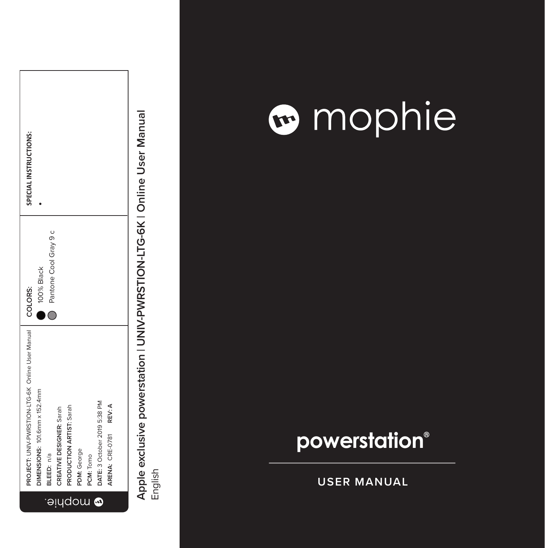|                | PROJECT: UNIV-PWRSTION-LTG-6K Online User Manual   COLORS: |                       | SPECIAL INSTRUCTIONS: |
|----------------|------------------------------------------------------------|-----------------------|-----------------------|
|                | DIMENSIONS: 101.6mm x 152.4mm                              | 100% Black            |                       |
| $\ominus$      | BLEED: n/a                                                 | Pantone Cool Gray 9 c |                       |
| ļЧ             | CREATIVE DESIGNER: Sarah                                   |                       |                       |
| $\overline{d}$ | PRODUCTION ARTIST: Sarah                                   |                       |                       |
| ū<br>O         | PDM: George                                                |                       |                       |
| J              | PCM: Tomo                                                  |                       |                       |
| ٥              | DATE: 3 October 2019 5:38 PM                               |                       |                       |
|                | REV: A<br>ARENA: CRE-0781                                  |                       |                       |
|                |                                                            |                       |                       |

### mophie

### **powerstation ®**

**USER MANUAL**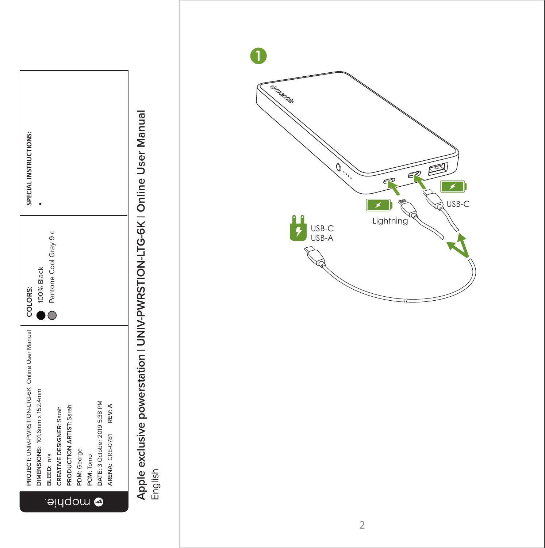

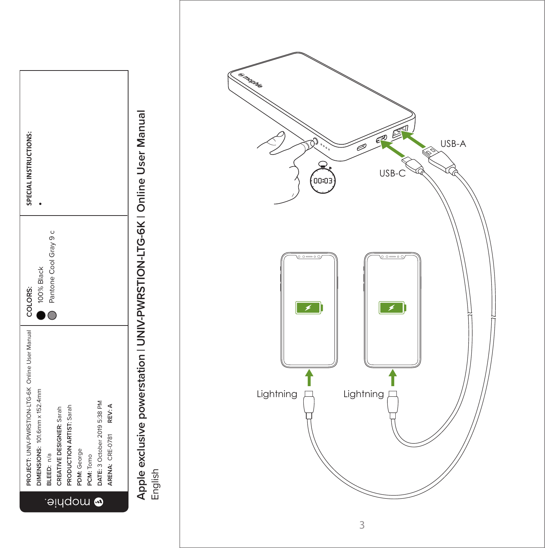

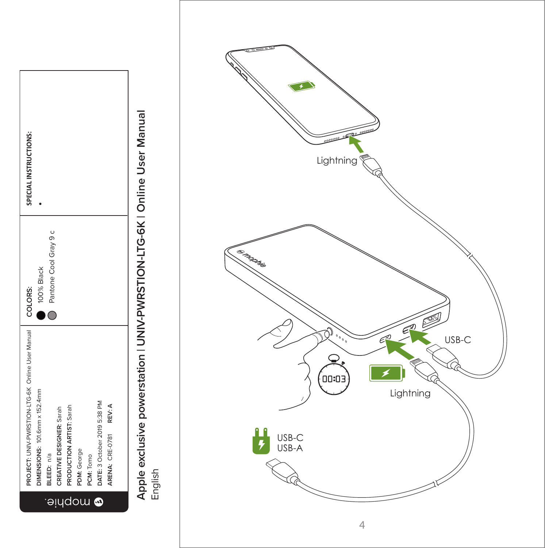

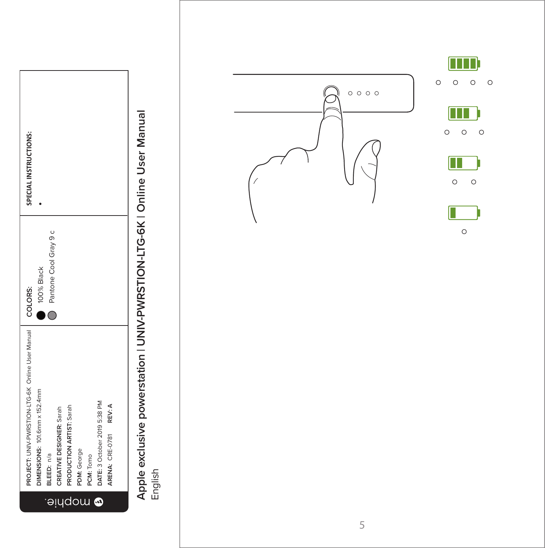

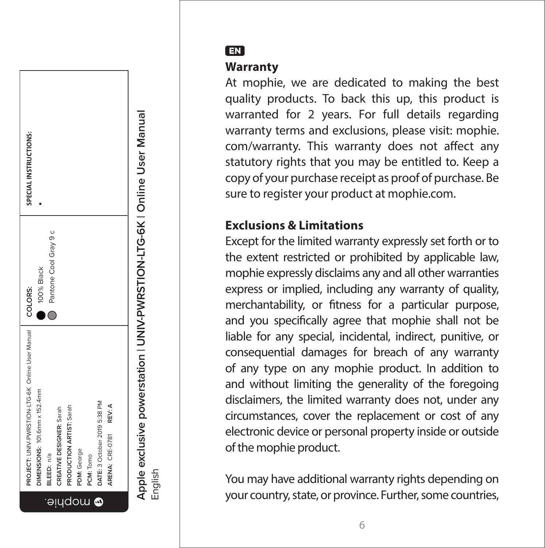

EN

#### **Warranty**

At mophie, we are dedicated to making the best quality products. To back this up, this product is warranted for 2 years. For full details regarding warranty terms and exclusions, please visit: mophie. com/warranty. This warranty does not affect any statutory rights that you may be entitled to. Keep a copy of your purchase receipt as proof of purchase. Be sure to register your product at mophie.com.

#### **Exclusions & Limitations**

Except for the limited warranty expressly set forth or to the extent restricted or prohibited by applicable law, mophie expressly disclaims any and all other warranties express or implied, including any warranty of quality, merchantability, or fitness for a particular purpose, and you specifically agree that mophie shall not be liable for any special, incidental, indirect, punitive, or consequential damages for breach of any warranty of any type on any mophie product. In addition to and without limiting the generality of the foregoing disclaimers, the limited warranty does not, under any circumstances, cover the replacement or cost of any electronic device or personal property inside or outside of the mophie product.

You may have additional warranty rights depending on your country, state, or province. Further, some countries,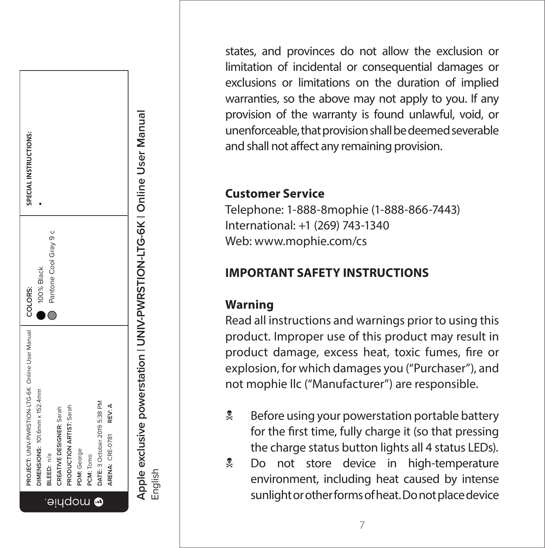

states, and provinces do not allow the exclusion or limitation of incidental or consequential damages or exclusions or limitations on the duration of implied warranties, so the above may not apply to you. If any provision of the warranty is found unlawful, void, or unenforceable, that provision shall be deemed severable and shall not affect any remaining provision.

#### **Customer Service**

Telephone: 1-888-8mophie (1-888-866-7443) International: +1 (269) 743-1340 Web: www.mophie.com/cs

#### **IMPORTANT SAFETY INSTRUCTIONS**

#### **Warning**

Read all instructions and warnings prior to using this product. Improper use of this product may result in product damage, excess heat, toxic fumes, fire or explosion, for which damages you ("Purchaser"), and not mophie llc ("Manufacturer") are responsible.

- **EX** Before using your powerstation portable battery for the first time, fully charge it (so that pressing the charge status button lights all 4 status LEDs).
- **Let** Do not store device in high-temperature environment, including heat caused by intense sunlight or other forms of heat. Do not place device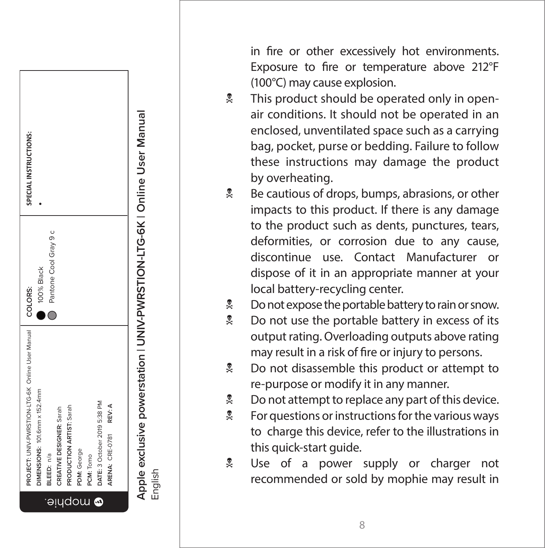SPECIAL INSTRUCTIONS: **SPECIAL INSTRUCTIONS:** •Ō Pantone Cool Gray 9 c Pantone Cool Gray 9 100% Black 100% Black **COLORS:**  COLORS:  $\bullet$   $\circ$ Online User Manual **PROJECT:** UNIV-PWRSTION-LTG-6K Online User Manual PROJECT: UNIV-PWRSTION-LTG-6K DIMENSIONS: 101.6mm x 152.4mm **DIMENSIONS:** 101.6mm x 152.4mm DATE: 3 October 2019 5:38 PM **DATE:** 3 October 2019 5:38 PM **PRODUCTION ARTIST: Sarah** REV: A **ARENA:** CRE-0781 **REV: A** CREATIVE DESIGNER: Sarah **PRODUCTION ARTIST:** Sarah **CREATIVE DESIGNER:** Sarah ARENA: CRE-0781 George **PDM:** George Tomo BLEED: n/a **BLEED:** n/a **PCM:** Tomo PDM: PCM: aludow @

Apple exclusive powerstation | UNIV-PWRSTION-LTG-6K | Online User Manual **Apple exclusive powerstation | UNIV-PWRSTION-LTG-6K | Online User Manual** English in fire or other excessively hot environments. Exposure to fire or temperature above 212°F (100°C) may cause explosion.

- **A** This product should be operated only in openair conditions. It should not be operated in an enclosed, unventilated space such as a carrying bag, pocket, purse or bedding. Failure to follow these instructions may damage the product by overheating.
- $\frac{1}{2}$  Be cautious of drops, bumps, abrasions, or other impacts to this product. If there is any damage to the product such as dents, punctures, tears, deformities, or corrosion due to any cause, discontinue use. Contact Manufacturer or dispose of it in an appropriate manner at your local battery-recycling center.
- $\stackrel{\bullet}{\sim}$  Do not expose the portable battery to rain or snow.
- **No not use the portable battery in excess of its** output rating. Overloading outputs above rating may result in a risk of fire or injury to persons.
- **2** Do not disassemble this product or attempt to re-purpose or modify it in any manner.
- $\stackrel{\bullet}{\sim}$  Do not attempt to replace any part of this device.
- $\frac{1}{2}$  For questions or instructions for the various ways to charge this device, refer to the illustrations in this quick-start guide.
- **E** Use of a power supply or charger not recommended or sold by mophie may result in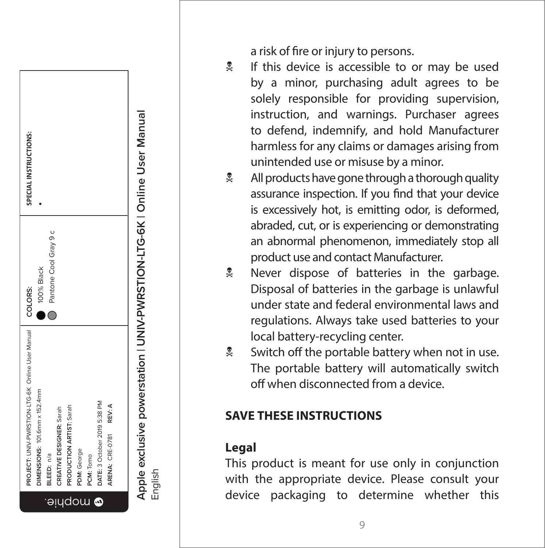SPECIAL INSTRUCTIONS: **SPECIAL INSTRUCTIONS:** •Ō Pantone Cool Gray 9 c Pantone Cool Gray 9 100% Black 100% Black **COLORS:**  COLORS:  $\bullet$ Online User Manual **PROJECT:** UNIV-PWRSTION-LTG-6K Online User Manual PROJECT: UNIV-PWRSTION-LTG-6K DIMENSIONS: 101.6mm x 152.4mm **DIMENSIONS:** 101.6mm x 152.4mm DATE: 3 October 2019 5:38 PM **DATE:** 3 October 2019 5:38 PM REV: A **RODUCTION ARTIST: Sarah ARENA:** CRE-0781 **REV: A** CREATIVE DESIGNER: Sarah **PRODUCTION ARTIST:** Sarah **CREATIVE DESIGNER:** Sarah ARENA: CRE-0781 PDM: George **PDM:** George PCM: Tomo BLEED: n/a **BLEED:** n/a **PCM:** Tomo aludow @

**Apple exclusive powerstation | UNIV-PWRSTION-LTG-6K | Online User Manual** Apple exclusive powerstation | UNIV-PWRSTION-LTG-6K | Online User Manual<br>English

a risk of fire or injury to persons.

- If this device is accessible to or may be used by a minor, purchasing adult agrees to be solely responsible for providing supervision, instruction, and warnings. Purchaser agrees to defend, indemnify, and hold Manufacturer harmless for any claims or damages arising from unintended use or misuse by a minor.
- $\stackrel{\bullet}{\sim}$  All products have gone through a thorough quality assurance inspection. If you find that your device is excessively hot, is emitting odor, is deformed, abraded, cut, or is experiencing or demonstrating an abnormal phenomenon, immediately stop all product use and contact Manufacturer.
- **A** Never dispose of batteries in the garbage. Disposal of batteries in the garbage is unlawful under state and federal environmental laws and regulations. Always take used batteries to your local battery-recycling center.
- $\frac{1}{2}$  Switch off the portable battery when not in use. The portable battery will automatically switch off when disconnected from a device.

#### **SAVE THESE INSTRUCTIONS**

#### **Legal**

This product is meant for use only in conjunction with the appropriate device. Please consult your device packaging to determine whether this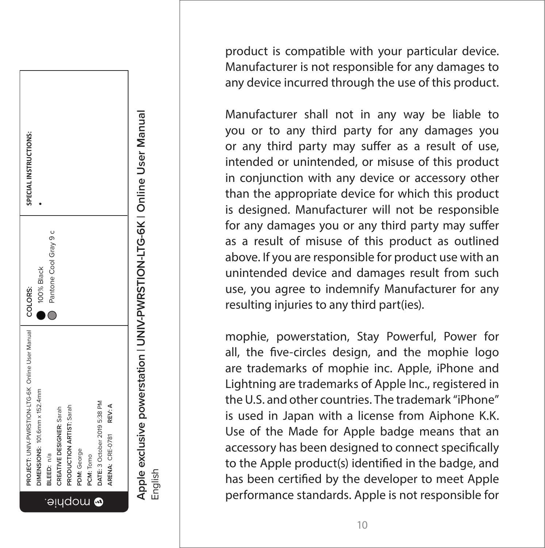

product is compatible with your particular device. Manufacturer is not responsible for any damages to any device incurred through the use of this product.

Manufacturer shall not in any way be liable to you or to any third party for any damages you or any third party may suffer as a result of use, intended or unintended, or misuse of this product in conjunction with any device or accessory other than the appropriate device for which this product is designed. Manufacturer will not be responsible for any damages you or any third party may suffer as a result of misuse of this product as outlined above. If you are responsible for product use with an unintended device and damages result from such use, you agree to indemnify Manufacturer for any resulting injuries to any third part(ies).

mophie, powerstation, Stay Powerful, Power for all, the five-circles design, and the mophie logo are trademarks of mophie inc. Apple, iPhone and Lightning are trademarks of Apple Inc., registered in the U.S. and other countries. The trademark "iPhone" is used in Japan with a license from Aiphone K.K. Use of the Made for Apple badge means that an accessory has been designed to connect specifically to the Apple product(s) identified in the badge, and has been certified by the developer to meet Apple performance standards. Apple is not responsible for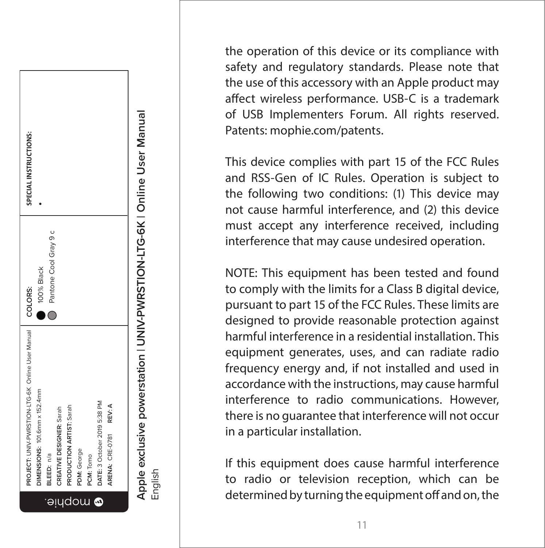

the operation of this device or its compliance with safety and regulatory standards. Please note that the use of this accessory with an Apple product may affect wireless performance. USB-C is a trademark of USB Implementers Forum. All rights reserved. Patents: mophie.com/patents.

This device complies with part 15 of the FCC Rules and RSS-Gen of IC Rules. Operation is subject to the following two conditions: (1) This device may not cause harmful interference, and (2) this device must accept any interference received, including interference that may cause undesired operation.

NOTE: This equipment has been tested and found to comply with the limits for a Class B digital device, pursuant to part 15 of the FCC Rules. These limits are designed to provide reasonable protection against harmful interference in a residential installation. This equipment generates, uses, and can radiate radio frequency energy and, if not installed and used in accordance with the instructions, may cause harmful interference to radio communications. However, there is no guarantee that interference will not occur in a particular installation.

If this equipment does cause harmful interference to radio or television reception, which can be determined by turning the equipment off and on, the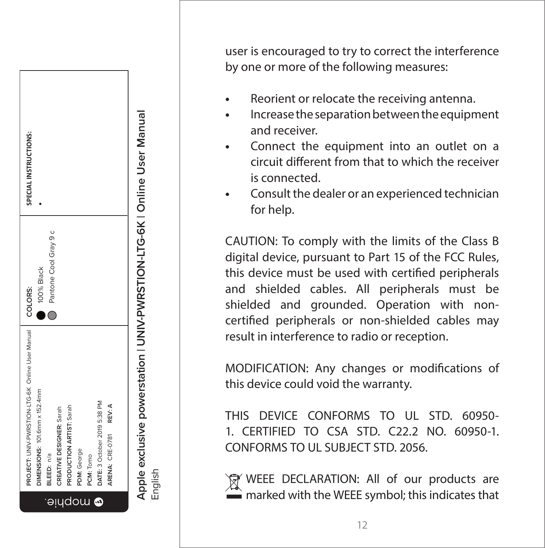

user is encouraged to try to correct the interference by one or more of the following measures:

- **•** Reorient or relocate the receiving antenna.
- **•** Increase the separation between the equipment and receiver.
- **•** Connect the equipment into an outlet on a circuit different from that to which the receiver is connected.
- **•** Consult the dealer or an experienced technician for help.

CAUTION: To comply with the limits of the Class B digital device, pursuant to Part 15 of the FCC Rules, this device must be used with certified peripherals and shielded cables. All peripherals must be shielded and grounded. Operation with noncertified peripherals or non-shielded cables may result in interference to radio or reception.

MODIFICATION: Any changes or modifications of this device could void the warranty.

THIS DEVICE CONFORMS TO UL STD. 60950-1. CERTIFIED TO CSA STD. C22.2 NO. 60950-1. CONFORMS TO UL SUBJECT STD. 2056.

WEEE DECLARATION: All of our products are marked with the WEEE symbol; this indicates that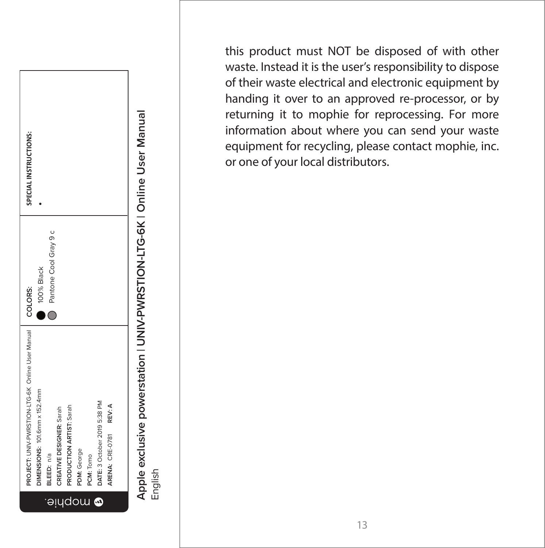

this product must NOT be disposed of with other waste. Instead it is the user's responsibility to dispose of their waste electrical and electronic equipment by handing it over to an approved re-processor, or by returning it to mophie for reprocessing. For more information about where you can send your waste equipment for recycling, please contact mophie, inc. or one of your local distributors.